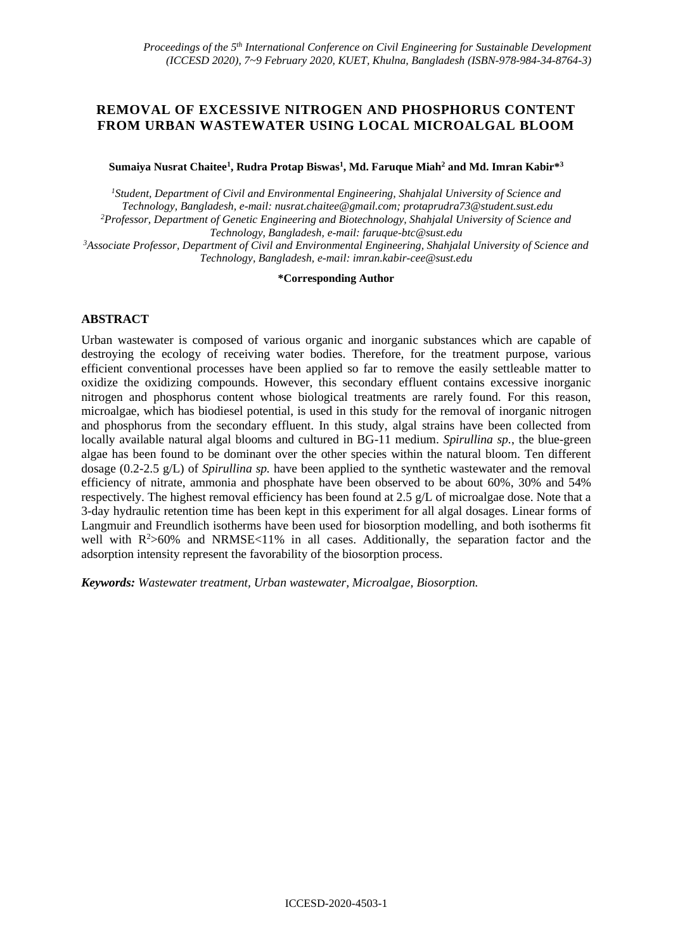## **REMOVAL OF EXCESSIVE NITROGEN AND PHOSPHORUS CONTENT FROM URBAN WASTEWATER USING LOCAL MICROALGAL BLOOM**

**Sumaiya Nusrat Chaitee<sup>1</sup> , Rudra Protap Biswas<sup>1</sup> , Md. Faruque Miah<sup>2</sup> and Md. Imran Kabir\*<sup>3</sup>**

*<sup>1</sup>Student, Department of Civil and Environmental Engineering, Shahjalal University of Science and Technology, Bangladesh, e-mail: nusrat.chaitee@gmail.com; protaprudra73@student.sust.edu <sup>2</sup>Professor, Department of Genetic Engineering and Biotechnology, Shahjalal University of Science and Technology, Bangladesh, e-mail: faruque-btc@sust.edu*

*<sup>3</sup>Associate Professor, Department of Civil and Environmental Engineering, Shahjalal University of Science and Technology, Bangladesh, e-mail: imran.kabir-cee@sust.edu*

#### **\*Corresponding Author**

#### **ABSTRACT**

Urban wastewater is composed of various organic and inorganic substances which are capable of destroying the ecology of receiving water bodies. Therefore, for the treatment purpose, various efficient conventional processes have been applied so far to remove the easily settleable matter to oxidize the oxidizing compounds. However, this secondary effluent contains excessive inorganic nitrogen and phosphorus content whose biological treatments are rarely found. For this reason, microalgae, which has biodiesel potential, is used in this study for the removal of inorganic nitrogen and phosphorus from the secondary effluent. In this study, algal strains have been collected from locally available natural algal blooms and cultured in BG-11 medium. *Spirullina sp.*, the blue-green algae has been found to be dominant over the other species within the natural bloom. Ten different dosage (0.2-2.5 g/L) of *Spirullina sp.* have been applied to the synthetic wastewater and the removal efficiency of nitrate, ammonia and phosphate have been observed to be about 60%, 30% and 54% respectively. The highest removal efficiency has been found at 2.5 g/L of microalgae dose. Note that a 3-day hydraulic retention time has been kept in this experiment for all algal dosages. Linear forms of Langmuir and Freundlich isotherms have been used for biosorption modelling, and both isotherms fit well with  $R^2 > 60\%$  and NRMSE<11% in all cases. Additionally, the separation factor and the adsorption intensity represent the favorability of the biosorption process.

*Keywords: Wastewater treatment, Urban wastewater, Microalgae, Biosorption.*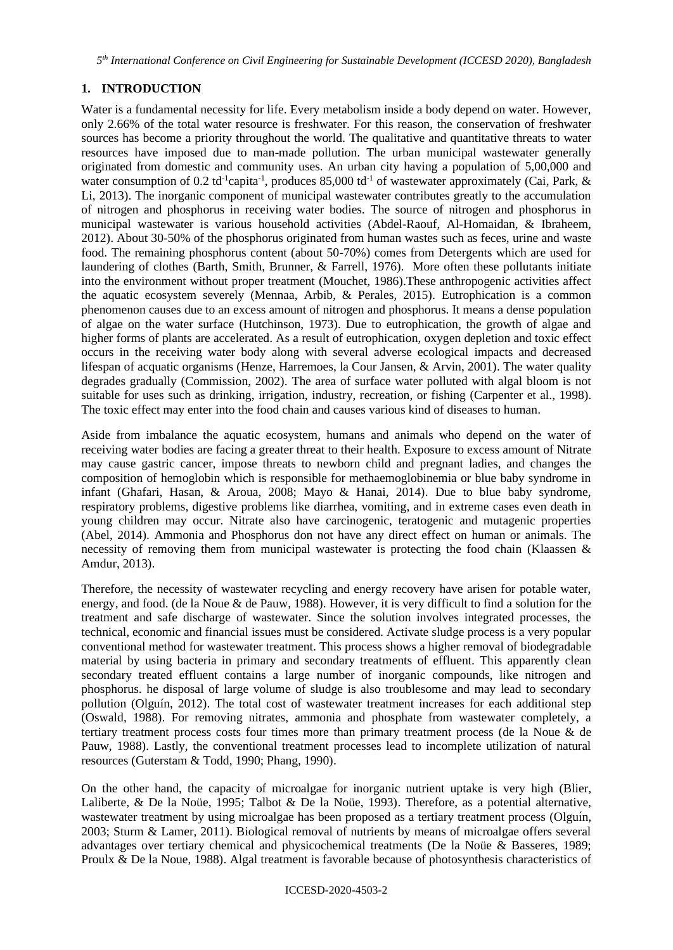*5 th International Conference on Civil Engineering for Sustainable Development (ICCESD 2020), Bangladesh*

# **1. INTRODUCTION**

Water is a fundamental necessity for life. Every metabolism inside a body depend on water. However, only 2.66% of the total water resource is freshwater. For this reason, the conservation of freshwater sources has become a priority throughout the world. The qualitative and quantitative threats to water resources have imposed due to man-made pollution. The urban municipal wastewater generally originated from domestic and community uses. An urban city having a population of 5,00,000 and water consumption of 0.2 td<sup>-1</sup>capita<sup>-1</sup>, produces 85,000 td<sup>-1</sup> of wastewater approximately (Cai, Park, & Li, 2013). The inorganic component of municipal wastewater contributes greatly to the accumulation of nitrogen and phosphorus in receiving water bodies. The source of nitrogen and phosphorus in municipal wastewater is various household activities (Abdel-Raouf, Al-Homaidan, & Ibraheem, 2012). About 30-50% of the phosphorus originated from human wastes such as feces, urine and waste food. The remaining phosphorus content (about 50-70%) comes from Detergents which are used for laundering of clothes (Barth, Smith, Brunner, & Farrell, 1976). More often these pollutants initiate into the environment without proper treatment (Mouchet, 1986).These anthropogenic activities affect the aquatic ecosystem severely (Mennaa, Arbib, & Perales, 2015). Eutrophication is a common phenomenon causes due to an excess amount of nitrogen and phosphorus. It means a dense population of algae on the water surface (Hutchinson, 1973). Due to eutrophication, the growth of algae and higher forms of plants are accelerated. As a result of eutrophication, oxygen depletion and toxic effect occurs in the receiving water body along with several adverse ecological impacts and decreased lifespan of acquatic organisms (Henze, Harremoes, la Cour Jansen, & Arvin, 2001). The water quality degrades gradually (Commission, 2002). The area of surface water polluted with algal bloom is not suitable for uses such as drinking, irrigation, industry, recreation, or fishing (Carpenter et al., 1998). The toxic effect may enter into the food chain and causes various kind of diseases to human.

Aside from imbalance the aquatic ecosystem, humans and animals who depend on the water of receiving water bodies are facing a greater threat to their health. Exposure to excess amount of Nitrate may cause gastric cancer, impose threats to newborn child and pregnant ladies, and changes the composition of hemoglobin which is responsible for methaemoglobinemia or blue baby syndrome in infant (Ghafari, Hasan, & Aroua, 2008; Mayo & Hanai, 2014). Due to blue baby syndrome, respiratory problems, digestive problems like diarrhea, vomiting, and in extreme cases even death in young children may occur. Nitrate also have carcinogenic, teratogenic and mutagenic properties (Abel, 2014). Ammonia and Phosphorus don not have any direct effect on human or animals. The necessity of removing them from municipal wastewater is protecting the food chain (Klaassen & Amdur, 2013).

Therefore, the necessity of wastewater recycling and energy recovery have arisen for potable water, energy, and food. (de la Noue & de Pauw, 1988). However, it is very difficult to find a solution for the treatment and safe discharge of wastewater. Since the solution involves integrated processes, the technical, economic and financial issues must be considered. Activate sludge process is a very popular conventional method for wastewater treatment. This process shows a higher removal of biodegradable material by using bacteria in primary and secondary treatments of effluent. This apparently clean secondary treated effluent contains a large number of inorganic compounds, like nitrogen and phosphorus. he disposal of large volume of sludge is also troublesome and may lead to secondary pollution (Olguín, 2012). The total cost of wastewater treatment increases for each additional step (Oswald, 1988). For removing nitrates, ammonia and phosphate from wastewater completely, a tertiary treatment process costs four times more than primary treatment process (de la Noue & de Pauw, 1988). Lastly, the conventional treatment processes lead to incomplete utilization of natural resources (Guterstam & Todd, 1990; Phang, 1990).

On the other hand, the capacity of microalgae for inorganic nutrient uptake is very high (Blier, Laliberte, & De la Noüe, 1995; Talbot & De la Noüe, 1993). Therefore, as a potential alternative, wastewater treatment by using microalgae has been proposed as a tertiary treatment process (Olguín, 2003; Sturm & Lamer, 2011). Biological removal of nutrients by means of microalgae offers several advantages over tertiary chemical and physicochemical treatments (De la Noüe & Basseres, 1989; Proulx & De la Noue, 1988). Algal treatment is favorable because of photosynthesis characteristics of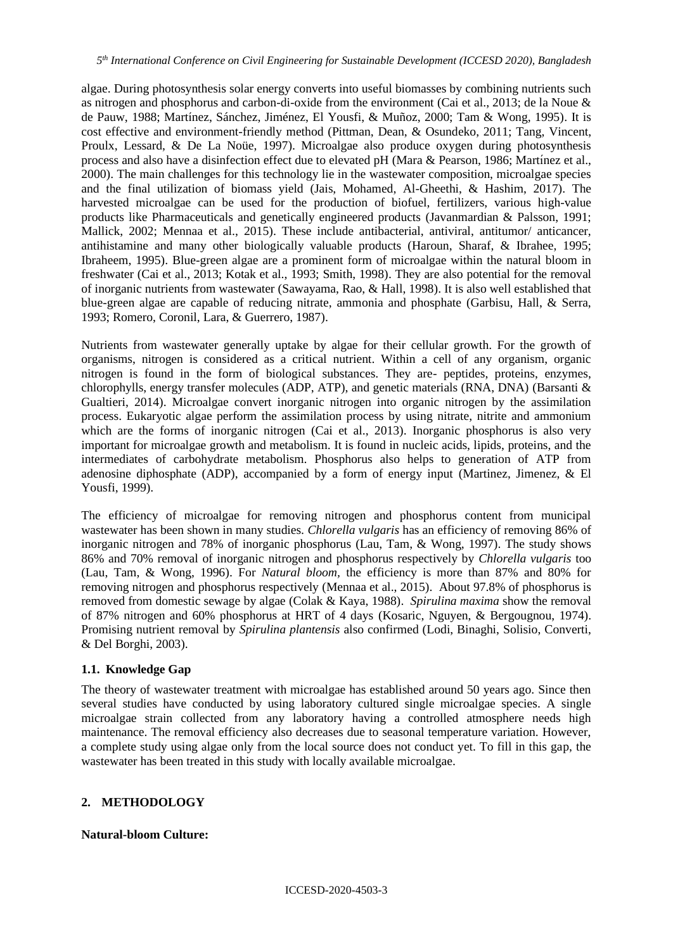algae. During photosynthesis solar energy converts into useful biomasses by combining nutrients such as nitrogen and phosphorus and carbon-di-oxide from the environment (Cai et al., 2013; de la Noue & de Pauw, 1988; Martínez, Sánchez, Jiménez, El Yousfi, & Muñoz, 2000; Tam & Wong, 1995). It is cost effective and environment-friendly method (Pittman, Dean, & Osundeko, 2011; Tang, Vincent, Proulx, Lessard, & De La Noüe, 1997). Microalgae also produce oxygen during photosynthesis process and also have a disinfection effect due to elevated pH (Mara & Pearson, 1986; Martı́nez et al., 2000). The main challenges for this technology lie in the wastewater composition, microalgae species and the final utilization of biomass yield (Jais, Mohamed, Al-Gheethi, & Hashim, 2017). The harvested microalgae can be used for the production of biofuel, fertilizers, various high-value products like Pharmaceuticals and genetically engineered products (Javanmardian & Palsson, 1991; Mallick, 2002; Mennaa et al., 2015). These include antibacterial, antiviral, antitumor/ anticancer, antihistamine and many other biologically valuable products (Haroun, Sharaf, & Ibrahee, 1995; Ibraheem, 1995). Blue-green algae are a prominent form of microalgae within the natural bloom in freshwater (Cai et al., 2013; Kotak et al., 1993; Smith, 1998). They are also potential for the removal of inorganic nutrients from wastewater (Sawayama, Rao, & Hall, 1998). It is also well established that blue-green algae are capable of reducing nitrate, ammonia and phosphate (Garbisu, Hall, & Serra, 1993; Romero, Coronil, Lara, & Guerrero, 1987).

Nutrients from wastewater generally uptake by algae for their cellular growth. For the growth of organisms, nitrogen is considered as a critical nutrient. Within a cell of any organism, organic nitrogen is found in the form of biological substances. They are- peptides, proteins, enzymes, chlorophylls, energy transfer molecules (ADP, ATP), and genetic materials (RNA, DNA) (Barsanti & Gualtieri, 2014). Microalgae convert inorganic nitrogen into organic nitrogen by the assimilation process. Eukaryotic algae perform the assimilation process by using nitrate, nitrite and ammonium which are the forms of inorganic nitrogen (Cai et al., 2013). Inorganic phosphorus is also very important for microalgae growth and metabolism. It is found in nucleic acids, lipids, proteins, and the intermediates of carbohydrate metabolism. Phosphorus also helps to generation of ATP from adenosine diphosphate (ADP), accompanied by a form of energy input (Martinez, Jimenez, & El Yousfi, 1999).

The efficiency of microalgae for removing nitrogen and phosphorus content from municipal wastewater has been shown in many studies. *Chlorella vulgaris* has an efficiency of removing 86% of inorganic nitrogen and 78% of inorganic phosphorus (Lau, Tam, & Wong, 1997). The study shows 86% and 70% removal of inorganic nitrogen and phosphorus respectively by *Chlorella vulgaris* too (Lau, Tam, & Wong, 1996). For *Natural bloom,* the efficiency is more than 87% and 80% for removing nitrogen and phosphorus respectively (Mennaa et al., 2015). About 97.8% of phosphorus is removed from domestic sewage by algae (Colak & Kaya, 1988). *Spirulina maxima* show the removal of 87% nitrogen and 60% phosphorus at HRT of 4 days (Kosaric, Nguyen, & Bergougnou, 1974). Promising nutrient removal by *Spirulina plantensis* also confirmed (Lodi, Binaghi, Solisio, Converti, & Del Borghi, 2003).

#### **1.1. Knowledge Gap**

The theory of wastewater treatment with microalgae has established around 50 years ago. Since then several studies have conducted by using laboratory cultured single microalgae species. A single microalgae strain collected from any laboratory having a controlled atmosphere needs high maintenance. The removal efficiency also decreases due to seasonal temperature variation. However, a complete study using algae only from the local source does not conduct yet. To fill in this gap, the wastewater has been treated in this study with locally available microalgae.

#### **2. METHODOLOGY**

#### **Natural-bloom Culture:**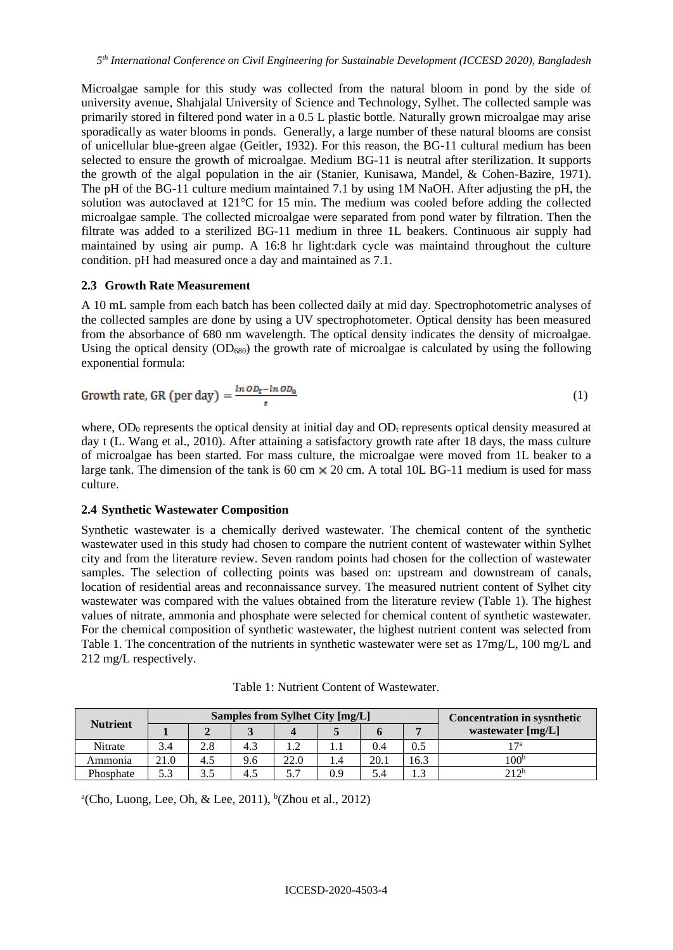Microalgae sample for this study was collected from the natural bloom in pond by the side of university avenue, Shahjalal University of Science and Technology, Sylhet. The collected sample was primarily stored in filtered pond water in a 0.5 L plastic bottle. Naturally grown microalgae may arise sporadically as water blooms in ponds. Generally, a large number of these natural blooms are consist of unicellular blue-green algae (Geitler, 1932). For this reason, the BG-11 cultural medium has been selected to ensure the growth of microalgae. Medium BG-11 is neutral after sterilization. It supports the growth of the algal population in the air (Stanier, Kunisawa, Mandel, & Cohen-Bazire, 1971). The pH of the BG-11 culture medium maintained 7.1 by using 1M NaOH. After adjusting the pH, the solution was autoclaved at 121°C for 15 min. The medium was cooled before adding the collected microalgae sample. The collected microalgae were separated from pond water by filtration. Then the filtrate was added to a sterilized BG-11 medium in three 1L beakers. Continuous air supply had maintained by using air pump. A 16:8 hr light:dark cycle was maintaind throughout the culture condition. pH had measured once a day and maintained as 7.1.

#### **2.3 Growth Rate Measurement**

A 10 mL sample from each batch has been collected daily at mid day. Spectrophotometric analyses of the collected samples are done by using a UV spectrophotometer. Optical density has been measured from the absorbance of 680 nm wavelength. The optical density indicates the density of microalgae. Using the optical density  $(OD_{680})$  the growth rate of microalgae is calculated by using the following exponential formula:

Growth rate, GR (per day) = 
$$
\frac{\ln o_{t} - \ln o_{0}}{t}
$$
 (1)

where,  $OD_0$  represents the optical density at initial day and  $OD_t$  represents optical density measured at day t (L. Wang et al., 2010). After attaining a satisfactory growth rate after 18 days, the mass culture of microalgae has been started. For mass culture, the microalgae were moved from 1L beaker to a large tank. The dimension of the tank is 60 cm  $\times$  20 cm. A total 10L BG-11 medium is used for mass culture.

## **2.4 Synthetic Wastewater Composition**

Synthetic wastewater is a chemically derived wastewater. The chemical content of the synthetic wastewater used in this study had chosen to compare the nutrient content of wastewater within Sylhet city and from the literature review. Seven random points had chosen for the collection of wastewater samples. The selection of collecting points was based on: upstream and downstream of canals, location of residential areas and reconnaissance survey. The measured nutrient content of Sylhet city wastewater was compared with the values obtained from the literature review (Table 1). The highest values of nitrate, ammonia and phosphate were selected for chemical content of synthetic wastewater. For the chemical composition of synthetic wastewater, the highest nutrient content was selected from Table 1. The concentration of the nutrients in synthetic wastewater were set as 17mg/L, 100 mg/L and 212 mg/L respectively.

| <b>Nutrient</b> |      |     | Samples from Sylhet City [mg/L] | <b>Concentration in sysnthetic</b> |     |      |      |                   |
|-----------------|------|-----|---------------------------------|------------------------------------|-----|------|------|-------------------|
|                 |      |     |                                 |                                    |     |      |      | wastewater [mg/L] |
| Nitrate         | 3.4  | 2.8 | 4.3                             |                                    |     | 0.4  |      | 1 7a              |
| Ammonia         | 21.0 | 4.5 | 9.6                             | 22.0                               |     | 20.1 | 16.3 | 100 <sup>b</sup>  |
| Phosphate       |      | ⌒   | 4.5                             |                                    | 0.9 | 5.4  |      | 212b              |

Table 1: Nutrient Content of Wastewater.

 $^{a}$ (Cho, Luong, Lee, Oh, & Lee, 2011), <sup>b</sup>(Zhou et al., 2012)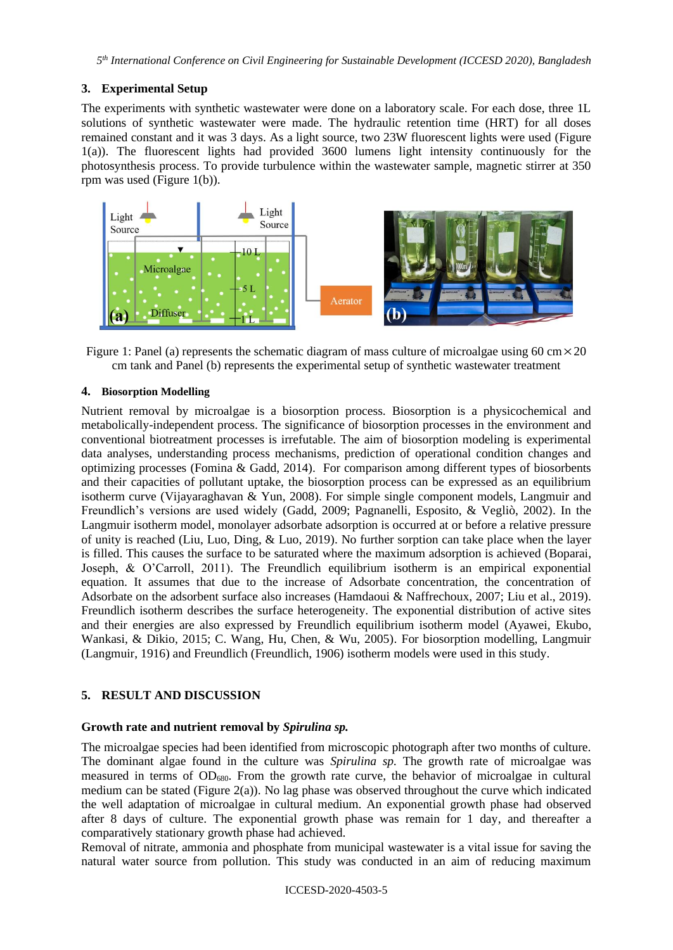## **3. Experimental Setup**

The experiments with synthetic wastewater were done on a laboratory scale. For each dose, three 1L solutions of synthetic wastewater were made. The hydraulic retention time (HRT) for all doses remained constant and it was 3 days. As a light source, two 23W fluorescent lights were used (Figure 1(a)). The fluorescent lights had provided 3600 lumens light intensity continuously for the photosynthesis process. To provide turbulence within the wastewater sample, magnetic stirrer at 350 rpm was used (Figure 1(b)).



Figure 1: Panel (a) represents the schematic diagram of mass culture of microalgae using 60 cm $\times$ 20 cm tank and Panel (b) represents the experimental setup of synthetic wastewater treatment

#### **4. Biosorption Modelling**

Nutrient removal by microalgae is a biosorption process. Biosorption is a physicochemical and metabolically-independent process. The significance of biosorption processes in the environment and conventional biotreatment processes is irrefutable. The aim of biosorption modeling is experimental data analyses, understanding process mechanisms, prediction of operational condition changes and optimizing processes (Fomina & Gadd, 2014). For comparison among different types of biosorbents and their capacities of pollutant uptake, the biosorption process can be expressed as an equilibrium isotherm curve (Vijayaraghavan & Yun, 2008). For simple single component models, Langmuir and Freundlich's versions are used widely (Gadd, 2009; Pagnanelli, Esposito, & Vegliò, 2002). In the Langmuir isotherm model, monolayer adsorbate adsorption is occurred at or before a relative pressure of unity is reached (Liu, Luo, Ding, & Luo, 2019). No further sorption can take place when the layer is filled. This causes the surface to be saturated where the maximum adsorption is achieved (Boparai, Joseph, & O'Carroll, 2011). The Freundlich equilibrium isotherm is an empirical exponential equation. It assumes that due to the increase of Adsorbate concentration, the concentration of Adsorbate on the adsorbent surface also increases (Hamdaoui & Naffrechoux, 2007; Liu et al., 2019). Freundlich isotherm describes the surface heterogeneity. The exponential distribution of active sites and their energies are also expressed by Freundlich equilibrium isotherm model (Ayawei, Ekubo, Wankasi, & Dikio, 2015; C. Wang, Hu, Chen, & Wu, 2005). For biosorption modelling, Langmuir (Langmuir, 1916) and Freundlich (Freundlich, 1906) isotherm models were used in this study.

## **5. RESULT AND DISCUSSION**

## **Growth rate and nutrient removal by** *Spirulina sp.*

The microalgae species had been identified from microscopic photograph after two months of culture. The dominant algae found in the culture was *Spirulina sp.* The growth rate of microalgae was measured in terms of  $OD_{680}$ . From the growth rate curve, the behavior of microalgae in cultural medium can be stated (Figure 2(a)). No lag phase was observed throughout the curve which indicated the well adaptation of microalgae in cultural medium. An exponential growth phase had observed after 8 days of culture. The exponential growth phase was remain for 1 day, and thereafter a comparatively stationary growth phase had achieved.

Removal of nitrate, ammonia and phosphate from municipal wastewater is a vital issue for saving the natural water source from pollution. This study was conducted in an aim of reducing maximum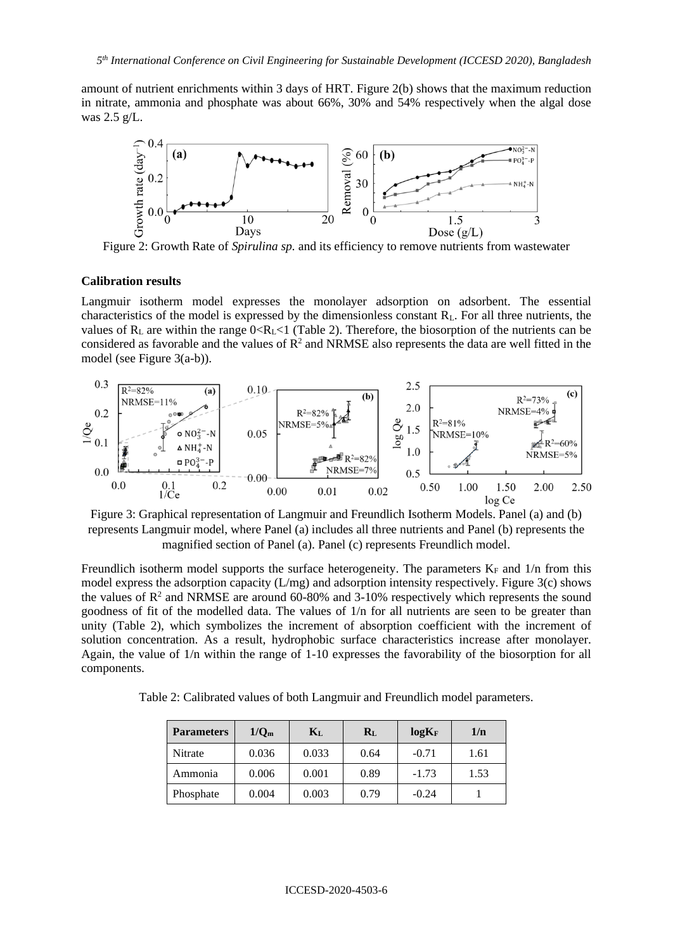amount of nutrient enrichments within 3 days of HRT. Figure 2(b) shows that the maximum reduction in nitrate, ammonia and phosphate was about 66%, 30% and 54% respectively when the algal dose was 2.5 g/L.



Figure 2: Growth Rate of *Spirulina sp.* and its efficiency to remove nutrients from wastewater

#### **Calibration results**

Langmuir isotherm model expresses the monolayer adsorption on adsorbent. The essential characteristics of the model is expressed by the dimensionless constant  $R<sub>L</sub>$ . For all three nutrients, the values of  $R_L$  are within the range  $0 < R_L < 1$  (Table 2). Therefore, the biosorption of the nutrients can be considered as favorable and the values of  $\mathbb{R}^2$  and NRMSE also represents the data are well fitted in the model (see Figure 3(a-b)).



Figure 3: Graphical representation of Langmuir and Freundlich Isotherm Models. Panel (a) and (b) represents Langmuir model, where Panel (a) includes all three nutrients and Panel (b) represents the magnified section of Panel (a). Panel (c) represents Freundlich model.

Freundlich isotherm model supports the surface heterogeneity. The parameters  $K_F$  and  $1/n$  from this model express the adsorption capacity (L/mg) and adsorption intensity respectively. Figure 3(c) shows the values of  $\mathbb{R}^2$  and NRMSE are around 60-80% and 3-10% respectively which represents the sound goodness of fit of the modelled data. The values of 1/n for all nutrients are seen to be greater than unity (Table 2), which symbolizes the increment of absorption coefficient with the increment of solution concentration. As a result, hydrophobic surface characteristics increase after monolayer. Again, the value of 1/n within the range of 1-10 expresses the favorability of the biosorption for all components.

Table 2: Calibrated values of both Langmuir and Freundlich model parameters.

| <b>Parameters</b> | 1/Q <sub>m</sub> | $K_{L}$ | $R_{L}$ | $log K_F$ | 1/n  |
|-------------------|------------------|---------|---------|-----------|------|
| Nitrate           | 0.036            | 0.033   | 0.64    | $-0.71$   | 1.61 |
| Ammonia           | 0.006            | 0.001   | 0.89    | $-1.73$   | 1.53 |
| Phosphate         | 0.004            | 0.003   | 0.79    | $-0.24$   |      |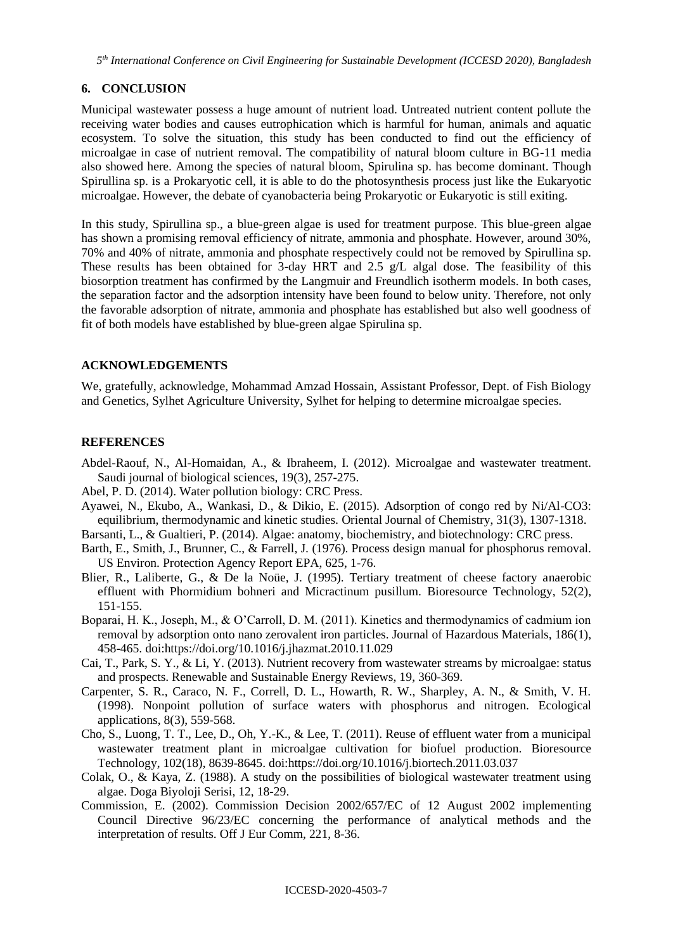*5 th International Conference on Civil Engineering for Sustainable Development (ICCESD 2020), Bangladesh*

## **6. CONCLUSION**

Municipal wastewater possess a huge amount of nutrient load. Untreated nutrient content pollute the receiving water bodies and causes eutrophication which is harmful for human, animals and aquatic ecosystem. To solve the situation, this study has been conducted to find out the efficiency of microalgae in case of nutrient removal. The compatibility of natural bloom culture in BG-11 media also showed here. Among the species of natural bloom, Spirulina sp. has become dominant. Though Spirullina sp. is a Prokaryotic cell, it is able to do the photosynthesis process just like the Eukaryotic microalgae. However, the debate of cyanobacteria being Prokaryotic or Eukaryotic is still exiting.

In this study, Spirullina sp., a blue-green algae is used for treatment purpose. This blue-green algae has shown a promising removal efficiency of nitrate, ammonia and phosphate. However, around 30%, 70% and 40% of nitrate, ammonia and phosphate respectively could not be removed by Spirullina sp. These results has been obtained for 3-day HRT and 2.5 g/L algal dose. The feasibility of this biosorption treatment has confirmed by the Langmuir and Freundlich isotherm models. In both cases, the separation factor and the adsorption intensity have been found to below unity. Therefore, not only the favorable adsorption of nitrate, ammonia and phosphate has established but also well goodness of fit of both models have established by blue-green algae Spirulina sp.

## **ACKNOWLEDGEMENTS**

We, gratefully, acknowledge, Mohammad Amzad Hossain, Assistant Professor, Dept. of Fish Biology and Genetics, Sylhet Agriculture University, Sylhet for helping to determine microalgae species.

## **REFERENCES**

- Abdel-Raouf, N., Al-Homaidan, A., & Ibraheem, I. (2012). Microalgae and wastewater treatment. Saudi journal of biological sciences, 19(3), 257-275.
- Abel, P. D. (2014). Water pollution biology: CRC Press.
- Ayawei, N., Ekubo, A., Wankasi, D., & Dikio, E. (2015). Adsorption of congo red by Ni/Al-CO3: equilibrium, thermodynamic and kinetic studies. Oriental Journal of Chemistry, 31(3), 1307-1318.
- Barsanti, L., & Gualtieri, P. (2014). Algae: anatomy, biochemistry, and biotechnology: CRC press.
- Barth, E., Smith, J., Brunner, C., & Farrell, J. (1976). Process design manual for phosphorus removal. US Environ. Protection Agency Report EPA, 625, 1-76.
- Blier, R., Laliberte, G., & De la Noüe, J. (1995). Tertiary treatment of cheese factory anaerobic effluent with Phormidium bohneri and Micractinum pusillum. Bioresource Technology, 52(2), 151-155.
- Boparai, H. K., Joseph, M., & O'Carroll, D. M. (2011). Kinetics and thermodynamics of cadmium ion removal by adsorption onto nano zerovalent iron particles. Journal of Hazardous Materials, 186(1), 458-465. doi[:https://doi.org/10.1016/j.jhazmat.2010.11.029](https://doi.org/10.1016/j.jhazmat.2010.11.029)
- Cai, T., Park, S. Y., & Li, Y. (2013). Nutrient recovery from wastewater streams by microalgae: status and prospects. Renewable and Sustainable Energy Reviews, 19, 360-369.
- Carpenter, S. R., Caraco, N. F., Correll, D. L., Howarth, R. W., Sharpley, A. N., & Smith, V. H. (1998). Nonpoint pollution of surface waters with phosphorus and nitrogen. Ecological applications, 8(3), 559-568.
- Cho, S., Luong, T. T., Lee, D., Oh, Y.-K., & Lee, T. (2011). Reuse of effluent water from a municipal wastewater treatment plant in microalgae cultivation for biofuel production. Bioresource Technology, 102(18), 8639-8645. doi[:https://doi.org/10.1016/j.biortech.2011.03.037](https://doi.org/10.1016/j.biortech.2011.03.037)
- Colak, O., & Kaya, Z. (1988). A study on the possibilities of biological wastewater treatment using algae. Doga Biyoloji Serisi, 12, 18-29.
- Commission, E. (2002). Commission Decision 2002/657/EC of 12 August 2002 implementing Council Directive 96/23/EC concerning the performance of analytical methods and the interpretation of results. Off J Eur Comm, 221, 8-36.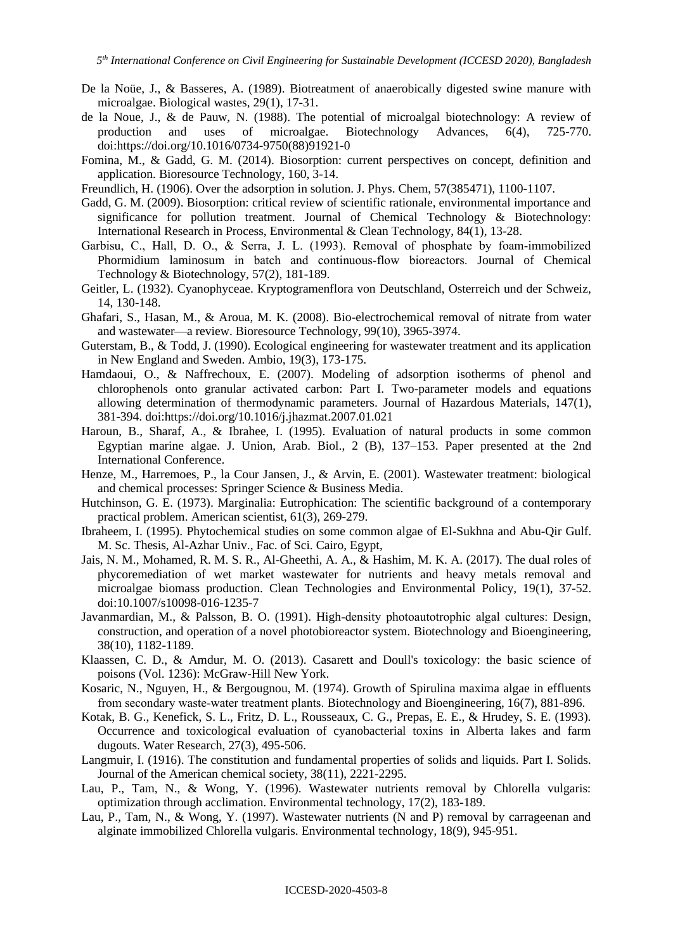- De la Noüe, J., & Basseres, A. (1989). Biotreatment of anaerobically digested swine manure with microalgae. Biological wastes, 29(1), 17-31.
- de la Noue, J., & de Pauw, N. (1988). The potential of microalgal biotechnology: A review of production and uses of microalgae. Biotechnology Advances, 6(4), 725-770. doi[:https://doi.org/10.1016/0734-9750\(88\)91921-0](https://doi.org/10.1016/0734-9750(88)91921-0)
- Fomina, M., & Gadd, G. M. (2014). Biosorption: current perspectives on concept, definition and application. Bioresource Technology, 160, 3-14.
- Freundlich, H. (1906). Over the adsorption in solution. J. Phys. Chem, 57(385471), 1100-1107.
- Gadd, G. M. (2009). Biosorption: critical review of scientific rationale, environmental importance and significance for pollution treatment. Journal of Chemical Technology & Biotechnology: International Research in Process, Environmental & Clean Technology, 84(1), 13-28.
- Garbisu, C., Hall, D. O., & Serra, J. L. (1993). Removal of phosphate by foam‐immobilized Phormidium laminosum in batch and continuous‐flow bioreactors. Journal of Chemical Technology & Biotechnology, 57(2), 181-189.
- Geitler, L. (1932). Cyanophyceae. Kryptogramenflora von Deutschland, Osterreich und der Schweiz, 14, 130-148.
- Ghafari, S., Hasan, M., & Aroua, M. K. (2008). Bio-electrochemical removal of nitrate from water and wastewater—a review. Bioresource Technology, 99(10), 3965-3974.
- Guterstam, B., & Todd, J. (1990). Ecological engineering for wastewater treatment and its application in New England and Sweden. Ambio, 19(3), 173-175.
- Hamdaoui, O., & Naffrechoux, E. (2007). Modeling of adsorption isotherms of phenol and chlorophenols onto granular activated carbon: Part I. Two-parameter models and equations allowing determination of thermodynamic parameters. Journal of Hazardous Materials, 147(1), 381-394. doi[:https://doi.org/10.1016/j.jhazmat.2007.01.021](https://doi.org/10.1016/j.jhazmat.2007.01.021)
- Haroun, B., Sharaf, A., & Ibrahee, I. (1995). Evaluation of natural products in some common Egyptian marine algae. J. Union, Arab. Biol., 2 (B), 137–153. Paper presented at the 2nd International Conference.
- Henze, M., Harremoes, P., la Cour Jansen, J., & Arvin, E. (2001). Wastewater treatment: biological and chemical processes: Springer Science & Business Media.
- Hutchinson, G. E. (1973). Marginalia: Eutrophication: The scientific background of a contemporary practical problem. American scientist, 61(3), 269-279.
- Ibraheem, I. (1995). Phytochemical studies on some common algae of El-Sukhna and Abu-Qir Gulf. M. Sc. Thesis, Al-Azhar Univ., Fac. of Sci. Cairo, Egypt,
- Jais, N. M., Mohamed, R. M. S. R., Al-Gheethi, A. A., & Hashim, M. K. A. (2017). The dual roles of phycoremediation of wet market wastewater for nutrients and heavy metals removal and microalgae biomass production. Clean Technologies and Environmental Policy, 19(1), 37-52. doi:10.1007/s10098-016-1235-7
- Javanmardian, M., & Palsson, B. O. (1991). High‐density photoautotrophic algal cultures: Design, construction, and operation of a novel photobioreactor system. Biotechnology and Bioengineering, 38(10), 1182-1189.
- Klaassen, C. D., & Amdur, M. O. (2013). Casarett and Doull's toxicology: the basic science of poisons (Vol. 1236): McGraw-Hill New York.
- Kosaric, N., Nguyen, H., & Bergougnou, M. (1974). Growth of Spirulina maxima algae in effluents from secondary waste‐water treatment plants. Biotechnology and Bioengineering, 16(7), 881-896.
- Kotak, B. G., Kenefick, S. L., Fritz, D. L., Rousseaux, C. G., Prepas, E. E., & Hrudey, S. E. (1993). Occurrence and toxicological evaluation of cyanobacterial toxins in Alberta lakes and farm dugouts. Water Research, 27(3), 495-506.
- Langmuir, I. (1916). The constitution and fundamental properties of solids and liquids. Part I. Solids. Journal of the American chemical society, 38(11), 2221-2295.
- Lau, P., Tam, N., & Wong, Y. (1996). Wastewater nutrients removal by Chlorella vulgaris: optimization through acclimation. Environmental technology, 17(2), 183-189.
- Lau, P., Tam, N., & Wong, Y. (1997). Wastewater nutrients (N and P) removal by carrageenan and alginate immobilized Chlorella vulgaris. Environmental technology, 18(9), 945-951.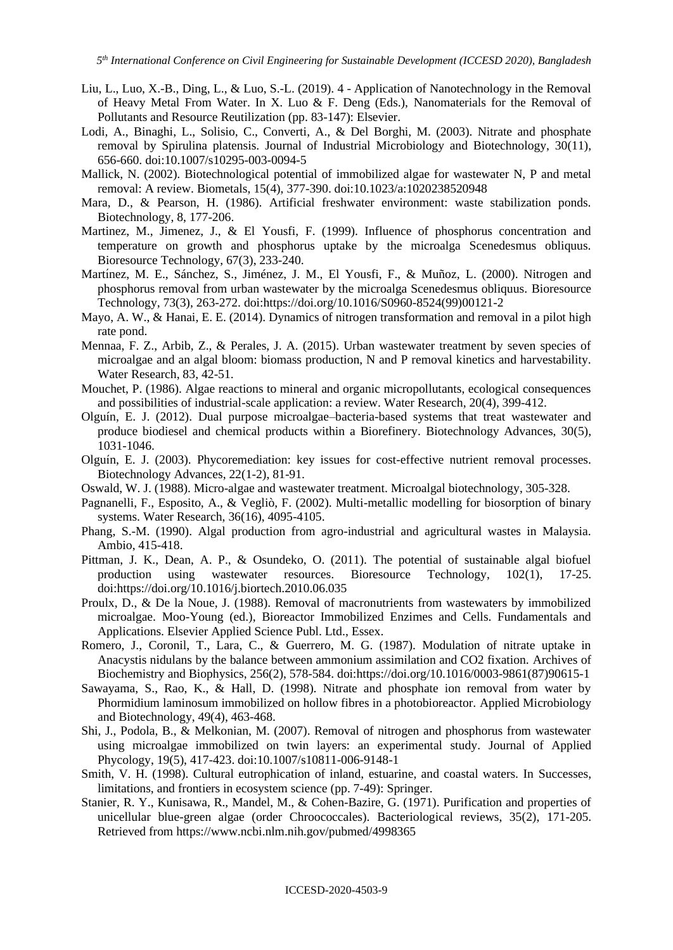- Liu, L., Luo, X.-B., Ding, L., & Luo, S.-L. (2019). 4 Application of Nanotechnology in the Removal of Heavy Metal From Water. In X. Luo & F. Deng (Eds.), Nanomaterials for the Removal of Pollutants and Resource Reutilization (pp. 83-147): Elsevier.
- Lodi, A., Binaghi, L., Solisio, C., Converti, A., & Del Borghi, M. (2003). Nitrate and phosphate removal by Spirulina platensis. Journal of Industrial Microbiology and Biotechnology, 30(11), 656-660. doi:10.1007/s10295-003-0094-5
- Mallick, N. (2002). Biotechnological potential of immobilized algae for wastewater N, P and metal removal: A review. Biometals, 15(4), 377-390. doi:10.1023/a:1020238520948
- Mara, D., & Pearson, H. (1986). Artificial freshwater environment: waste stabilization ponds. Biotechnology, 8, 177-206.
- Martinez, M., Jimenez, J., & El Yousfi, F. (1999). Influence of phosphorus concentration and temperature on growth and phosphorus uptake by the microalga Scenedesmus obliquus. Bioresource Technology, 67(3), 233-240.
- Martínez, M. E., Sánchez, S., Jiménez, J. M., El Yousfi, F., & Muñoz, L. (2000). Nitrogen and phosphorus removal from urban wastewater by the microalga Scenedesmus obliquus. Bioresource Technology, 73(3), 263-272. doi[:https://doi.org/10.1016/S0960-8524\(99\)00121-2](https://doi.org/10.1016/S0960-8524(99)00121-2)
- Mayo, A. W., & Hanai, E. E. (2014). Dynamics of nitrogen transformation and removal in a pilot high rate pond.
- Mennaa, F. Z., Arbib, Z., & Perales, J. A. (2015). Urban wastewater treatment by seven species of microalgae and an algal bloom: biomass production, N and P removal kinetics and harvestability. Water Research, 83, 42-51.
- Mouchet, P. (1986). Algae reactions to mineral and organic micropollutants, ecological consequences and possibilities of industrial-scale application: a review. Water Research, 20(4), 399-412.
- Olguín, E. J. (2012). Dual purpose microalgae–bacteria-based systems that treat wastewater and produce biodiesel and chemical products within a Biorefinery. Biotechnology Advances, 30(5), 1031-1046.
- Olguín, E. J. (2003). Phycoremediation: key issues for cost-effective nutrient removal processes. Biotechnology Advances, 22(1-2), 81-91.
- Oswald, W. J. (1988). Micro-algae and wastewater treatment. Microalgal biotechnology, 305-328.
- Pagnanelli, F., Esposito, A., & Vegliò, F. (2002). Multi-metallic modelling for biosorption of binary systems. Water Research, 36(16), 4095-4105.
- Phang, S.-M. (1990). Algal production from agro-industrial and agricultural wastes in Malaysia. Ambio, 415-418.
- Pittman, J. K., Dean, A. P., & Osundeko, O. (2011). The potential of sustainable algal biofuel production using wastewater resources. Bioresource Technology, 102(1), 17-25. doi[:https://doi.org/10.1016/j.biortech.2010.06.035](https://doi.org/10.1016/j.biortech.2010.06.035)
- Proulx, D., & De la Noue, J. (1988). Removal of macronutrients from wastewaters by immobilized microalgae. Moo-Young (ed.), Bioreactor Immobilized Enzimes and Cells. Fundamentals and Applications. Elsevier Applied Science Publ. Ltd., Essex.
- Romero, J., Coronil, T., Lara, C., & Guerrero, M. G. (1987). Modulation of nitrate uptake in Anacystis nidulans by the balance between ammonium assimilation and CO2 fixation. Archives of Biochemistry and Biophysics, 256(2), 578-584. doi[:https://doi.org/10.1016/0003-9861\(87\)90615-1](https://doi.org/10.1016/0003-9861(87)90615-1)
- Sawayama, S., Rao, K., & Hall, D. (1998). Nitrate and phosphate ion removal from water by Phormidium laminosum immobilized on hollow fibres in a photobioreactor. Applied Microbiology and Biotechnology, 49(4), 463-468.
- Shi, J., Podola, B., & Melkonian, M. (2007). Removal of nitrogen and phosphorus from wastewater using microalgae immobilized on twin layers: an experimental study. Journal of Applied Phycology, 19(5), 417-423. doi:10.1007/s10811-006-9148-1
- Smith, V. H. (1998). Cultural eutrophication of inland, estuarine, and coastal waters. In Successes, limitations, and frontiers in ecosystem science (pp. 7-49): Springer.
- Stanier, R. Y., Kunisawa, R., Mandel, M., & Cohen-Bazire, G. (1971). Purification and properties of unicellular blue-green algae (order Chroococcales). Bacteriological reviews, 35(2), 171-205. Retrieved from<https://www.ncbi.nlm.nih.gov/pubmed/4998365>